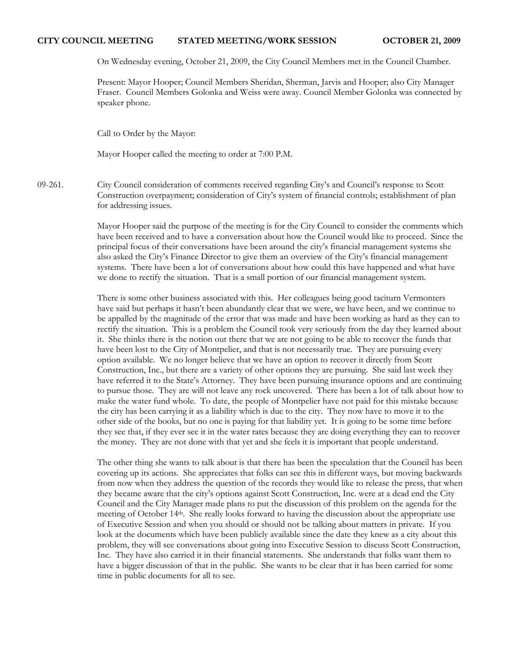# **CITY COUNCIL MEETING STATED MEETING/WORK SESSION OCTOBER 21, 2009**

On Wednesday evening, October 21, 2009, the City Council Members met in the Council Chamber.

Present: Mayor Hooper; Council Members Sheridan, Sherman, Jarvis and Hooper; also City Manager Fraser. Council Members Golonka and Weiss were away. Council Member Golonka was connected by speaker phone.

Call to Order by the Mayor:

Mayor Hooper called the meeting to order at 7:00 P.M.

09-261. City Council consideration of comments received regarding City's and Council's response to Scott Construction overpayment; consideration of City's system of financial controls; establishment of plan for addressing issues.

> Mayor Hooper said the purpose of the meeting is for the City Council to consider the comments which have been received and to have a conversation about how the Council would like to proceed. Since the principal focus of their conversations have been around the city's financial management systems she also asked the City's Finance Director to give them an overview of the City's financial management systems. There have been a lot of conversations about how could this have happened and what have we done to rectify the situation. That is a small portion of our financial management system.

> There is some other business associated with this. Her colleagues being good taciturn Vermonters have said but perhaps it hasn't been abundantly clear that we were, we have been, and we continue to be appalled by the magnitude of the error that was made and have been working as hard as they can to rectify the situation. This is a problem the Council took very seriously from the day they learned about it. She thinks there is the notion out there that we are not going to be able to recover the funds that have been lost to the City of Montpelier, and that is not necessarily true. They are pursuing every option available. We no longer believe that we have an option to recover it directly from Scott Construction, Inc., but there are a variety of other options they are pursuing. She said last week they have referred it to the State's Attorney. They have been pursuing insurance options and are continuing to pursue those. They are will not leave any rock uncovered. There has been a lot of talk about how to make the water fund whole. To date, the people of Montpelier have not paid for this mistake because the city has been carrying it as a liability which is due to the city. They now have to move it to the other side of the books, but no one is paying for that liability yet. It is going to be some time before they see that, if they ever see it in the water rates because they are doing everything they can to recover the money. They are not done with that yet and she feels it is important that people understand.

> The other thing she wants to talk about is that there has been the speculation that the Council has been covering up its actions. She appreciates that folks can see this in different ways, but moving backwards from now when they address the question of the records they would like to release the press, that when they became aware that the city's options against Scott Construction, Inc. were at a dead end the City Council and the City Manager made plans to put the discussion of this problem on the agenda for the meeting of October 14th. She really looks forward to having the discussion about the appropriate use of Executive Session and when you should or should not be talking about matters in private. If you look at the documents which have been publicly available since the date they knew as a city about this problem, they will see conversations about going into Executive Session to discuss Scott Construction, Inc. They have also carried it in their financial statements. She understands that folks want them to have a bigger discussion of that in the public. She wants to be clear that it has been carried for some time in public documents for all to see.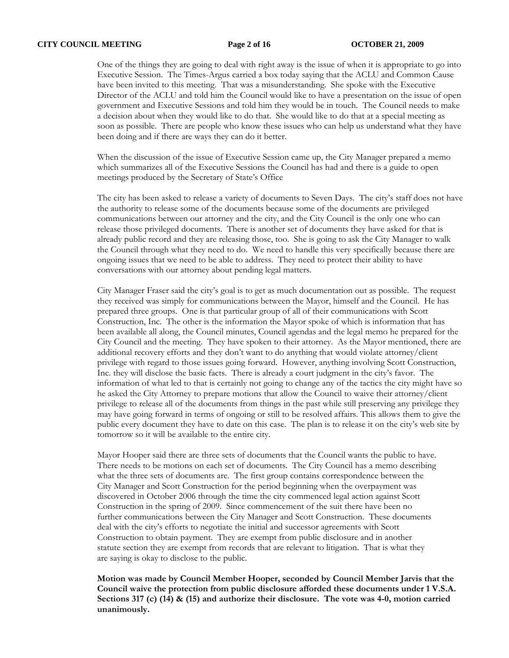One of the things they are going to deal with right away is the issue of when it is appropriate to go into Executive Session. The Times-Argus carried a box today saying that the ACLU and Common Cause have been invited to this meeting. That was a misunderstanding. She spoke with the Executive Director of the ACLU and told him the Council would like to have a presentation on the issue of open government and Executive Sessions and told him they would be in touch. The Council needs to make a decision about when they would like to do that. She would like to do that at a special meeting as soon as possible. There are people who know these issues who can help us understand what they have been doing and if there are ways they can do it better.

When the discussion of the issue of Executive Session came up, the City Manager prepared a memo which summarizes all of the Executive Sessions the Council has had and there is a guide to open meetings produced by the Secretary of State's Office

The city has been asked to release a variety of documents to Seven Days. The city's staff does not have the authority to release some of the documents because some of the documents are privileged communications between our attorney and the city, and the City Council is the only one who can release those privileged documents. There is another set of documents they have asked for that is already public record and they are releasing those, too. She is going to ask the City Manager to walk the Council through what they need to do. We need to handle this very specifically because there are ongoing issues that we need to be able to address. They need to protect their ability to have conversations with our attorney about pending legal matters.

City Manager Fraser said the city's goal is to get as much documentation out as possible. The request they received was simply for communications between the Mayor, himself and the Council. He has prepared three groups. One is that particular group of all of their communications with Scott Construction, Inc. The other is the information the Mayor spoke of which is information that has been available all along, the Council minutes, Council agendas and the legal memo he prepared for the City Council and the meeting. They have spoken to their attorney. As the Mayor mentioned, there are additional recovery efforts and they don't want to do anything that would violate attorney/client privilege with regard to those issues going forward. However, anything involving Scott Construction, Inc. they will disclose the basic facts. There is already a court judgment in the city's favor. The information of what led to that is certainly not going to change any of the tactics the city might have so he asked the City Attorney to prepare motions that allow the Council to waive their attorney/client privilege to release all of the documents from things in the past while still preserving any privilege they may have going forward in terms of ongoing or still to be resolved affairs. This allows them to give the public every document they have to date on this case. The plan is to release it on the city's web site by tomorrow so it will be available to the entire city.

Mayor Hooper said there are three sets of documents that the Council wants the public to have. There needs to be motions on each set of documents. The City Council has a memo describing what the three sets of documents are. The first group contains correspondence between the City Manager and Scott Construction for the period beginning when the overpayment was discovered in October 2006 through the time the city commenced legal action against Scott Construction in the spring of 2009. Since commencement of the suit there have been no further communications between the City Manager and Scott Construction. These documents deal with the city's efforts to negotiate the initial and successor agreements with Scott Construction to obtain payment. They are exempt from public disclosure and in another statute section they are exempt from records that are relevant to litigation. That is what they are saying is okay to disclose to the public.

**Motion was made by Council Member Hooper, seconded by Council Member Jarvis that the Council waive the protection from public disclosure afforded these documents under 1 V.S.A. Sections 317 (c) (14) & (15) and authorize their disclosure. The vote was 4-0, motion carried unanimously.**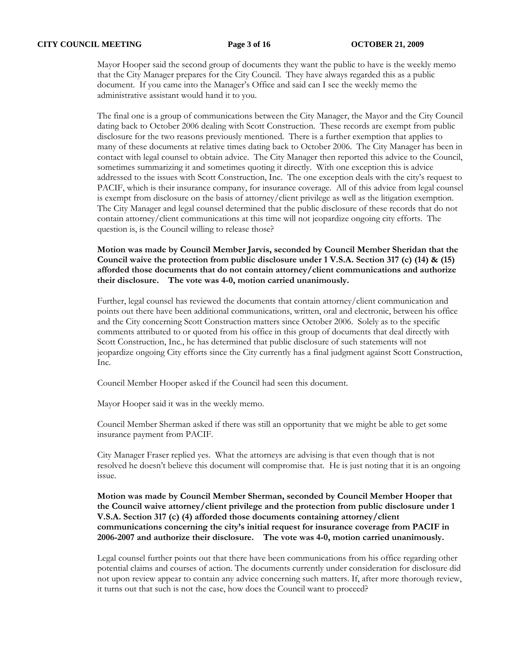Mayor Hooper said the second group of documents they want the public to have is the weekly memo that the City Manager prepares for the City Council. They have always regarded this as a public document. If you came into the Manager's Office and said can I see the weekly memo the administrative assistant would hand it to you.

The final one is a group of communications between the City Manager, the Mayor and the City Council dating back to October 2006 dealing with Scott Construction. These records are exempt from public disclosure for the two reasons previously mentioned. There is a further exemption that applies to many of these documents at relative times dating back to October 2006. The City Manager has been in contact with legal counsel to obtain advice. The City Manager then reported this advice to the Council, sometimes summarizing it and sometimes quoting it directly. With one exception this is advice addressed to the issues with Scott Construction, Inc. The one exception deals with the city's request to PACIF, which is their insurance company, for insurance coverage. All of this advice from legal counsel is exempt from disclosure on the basis of attorney/client privilege as well as the litigation exemption. The City Manager and legal counsel determined that the public disclosure of these records that do not contain attorney/client communications at this time will not jeopardize ongoing city efforts. The question is, is the Council willing to release those?

**Motion was made by Council Member Jarvis, seconded by Council Member Sheridan that the Council waive the protection from public disclosure under 1 V.S.A. Section 317 (c) (14) & (15) afforded those documents that do not contain attorney/client communications and authorize their disclosure. The vote was 4-0, motion carried unanimously.** 

Further, legal counsel has reviewed the documents that contain attorney/client communication and points out there have been additional communications, written, oral and electronic, between his office and the City concerning Scott Construction matters since October 2006. Solely as to the specific comments attributed to or quoted from his office in this group of documents that deal directly with Scott Construction, Inc., he has determined that public disclosure of such statements will not jeopardize ongoing City efforts since the City currently has a final judgment against Scott Construction, Inc.

Council Member Hooper asked if the Council had seen this document.

Mayor Hooper said it was in the weekly memo.

Council Member Sherman asked if there was still an opportunity that we might be able to get some insurance payment from PACIF.

City Manager Fraser replied yes. What the attorneys are advising is that even though that is not resolved he doesn't believe this document will compromise that. He is just noting that it is an ongoing issue.

**Motion was made by Council Member Sherman, seconded by Council Member Hooper that the Council waive attorney/client privilege and the protection from public disclosure under 1 V.S.A. Section 317 (c) (4) afforded those documents containing attorney/client communications concerning the city's initial request for insurance coverage from PACIF in 2006-2007 and authorize their disclosure. The vote was 4-0, motion carried unanimously.** 

Legal counsel further points out that there have been communications from his office regarding other potential claims and courses of action. The documents currently under consideration for disclosure did not upon review appear to contain any advice concerning such matters. If, after more thorough review, it turns out that such is not the case, how does the Council want to proceed?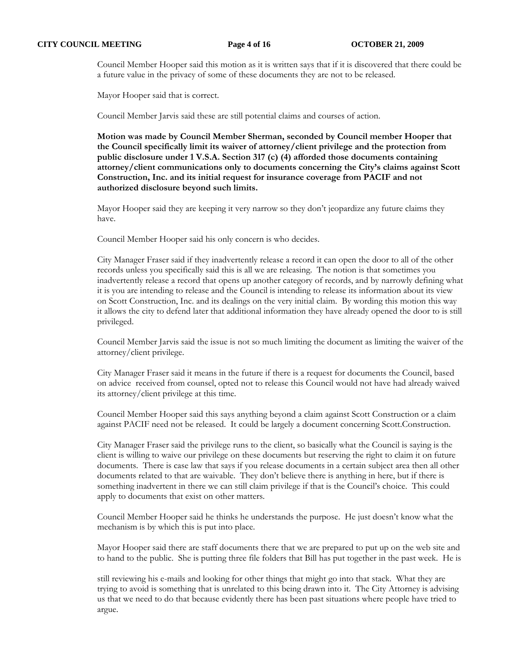Council Member Hooper said this motion as it is written says that if it is discovered that there could be a future value in the privacy of some of these documents they are not to be released.

Mayor Hooper said that is correct.

Council Member Jarvis said these are still potential claims and courses of action.

**Motion was made by Council Member Sherman, seconded by Council member Hooper that the Council specifically limit its waiver of attorney/client privilege and the protection from public disclosure under 1 V.S.A. Section 317 (c) (4) afforded those documents containing attorney/client communications only to documents concerning the City's claims against Scott Construction, Inc. and its initial request for insurance coverage from PACIF and not authorized disclosure beyond such limits.** 

Mayor Hooper said they are keeping it very narrow so they don't jeopardize any future claims they have.

Council Member Hooper said his only concern is who decides.

City Manager Fraser said if they inadvertently release a record it can open the door to all of the other records unless you specifically said this is all we are releasing. The notion is that sometimes you inadvertently release a record that opens up another category of records, and by narrowly defining what it is you are intending to release and the Council is intending to release its information about its view on Scott Construction, Inc. and its dealings on the very initial claim. By wording this motion this way it allows the city to defend later that additional information they have already opened the door to is still privileged.

Council Member Jarvis said the issue is not so much limiting the document as limiting the waiver of the attorney/client privilege.

City Manager Fraser said it means in the future if there is a request for documents the Council, based on advice received from counsel, opted not to release this Council would not have had already waived its attorney/client privilege at this time.

Council Member Hooper said this says anything beyond a claim against Scott Construction or a claim against PACIF need not be released. It could be largely a document concerning Scott.Construction.

City Manager Fraser said the privilege runs to the client, so basically what the Council is saying is the client is willing to waive our privilege on these documents but reserving the right to claim it on future documents. There is case law that says if you release documents in a certain subject area then all other documents related to that are waivable. They don't believe there is anything in here, but if there is something inadvertent in there we can still claim privilege if that is the Council's choice. This could apply to documents that exist on other matters.

Council Member Hooper said he thinks he understands the purpose. He just doesn't know what the mechanism is by which this is put into place.

Mayor Hooper said there are staff documents there that we are prepared to put up on the web site and to hand to the public. She is putting three file folders that Bill has put together in the past week. He is

still reviewing his e-mails and looking for other things that might go into that stack. What they are trying to avoid is something that is unrelated to this being drawn into it. The City Attorney is advising us that we need to do that because evidently there has been past situations where people have tried to argue.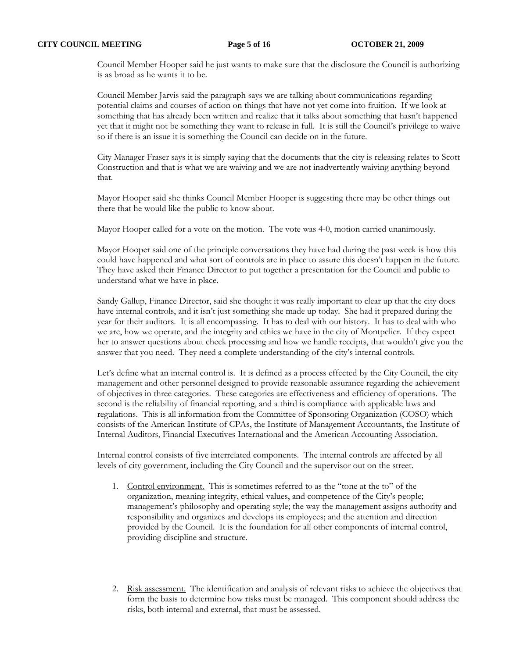Council Member Hooper said he just wants to make sure that the disclosure the Council is authorizing is as broad as he wants it to be.

Council Member Jarvis said the paragraph says we are talking about communications regarding potential claims and courses of action on things that have not yet come into fruition. If we look at something that has already been written and realize that it talks about something that hasn't happened yet that it might not be something they want to release in full. It is still the Council's privilege to waive so if there is an issue it is something the Council can decide on in the future.

City Manager Fraser says it is simply saying that the documents that the city is releasing relates to Scott Construction and that is what we are waiving and we are not inadvertently waiving anything beyond that.

Mayor Hooper said she thinks Council Member Hooper is suggesting there may be other things out there that he would like the public to know about.

Mayor Hooper called for a vote on the motion. The vote was 4-0, motion carried unanimously.

Mayor Hooper said one of the principle conversations they have had during the past week is how this could have happened and what sort of controls are in place to assure this doesn't happen in the future. They have asked their Finance Director to put together a presentation for the Council and public to understand what we have in place.

Sandy Gallup, Finance Director, said she thought it was really important to clear up that the city does have internal controls, and it isn't just something she made up today. She had it prepared during the year for their auditors. It is all encompassing. It has to deal with our history. It has to deal with who we are, how we operate, and the integrity and ethics we have in the city of Montpelier. If they expect her to answer questions about check processing and how we handle receipts, that wouldn't give you the answer that you need. They need a complete understanding of the city's internal controls.

Let's define what an internal control is. It is defined as a process effected by the City Council, the city management and other personnel designed to provide reasonable assurance regarding the achievement of objectives in three categories. These categories are effectiveness and efficiency of operations. The second is the reliability of financial reporting, and a third is compliance with applicable laws and regulations. This is all information from the Committee of Sponsoring Organization (COSO) which consists of the American Institute of CPAs, the Institute of Management Accountants, the Institute of Internal Auditors, Financial Executives International and the American Accounting Association.

Internal control consists of five interrelated components. The internal controls are affected by all levels of city government, including the City Council and the supervisor out on the street.

- 1. Control environment. This is sometimes referred to as the "tone at the to" of the organization, meaning integrity, ethical values, and competence of the City's people; management's philosophy and operating style; the way the management assigns authority and responsibility and organizes and develops its employees; and the attention and direction provided by the Council. It is the foundation for all other components of internal control, providing discipline and structure.
- 2. Risk assessment. The identification and analysis of relevant risks to achieve the objectives that form the basis to determine how risks must be managed. This component should address the risks, both internal and external, that must be assessed.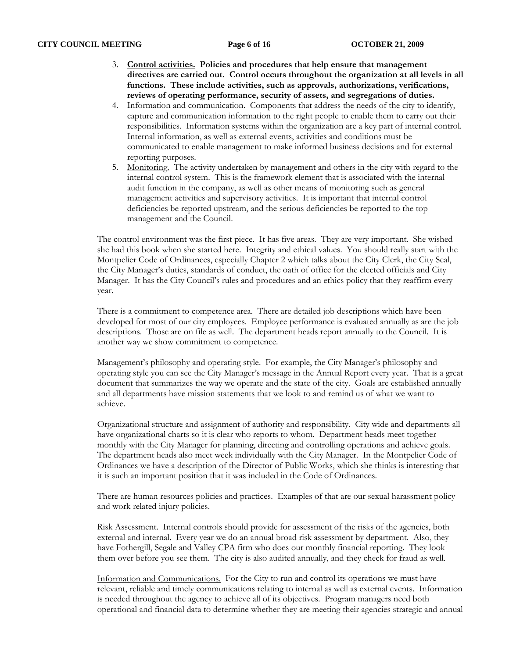### **CITY COUNCIL MEETING Page 6 of 16 OCTOBER 21, 2009**

- 3. **Control activities. Policies and procedures that help ensure that management**  directives are carried out. Control occurs throughout the organization at all levels in all **functions. These include activities, such as approvals, authorizations, verifications, reviews of operating performance, security of assets, and segregations of duties.**
- 4. Information and communication. Components that address the needs of the city to identify, capture and communication information to the right people to enable them to carry out their responsibilities. Information systems within the organization are a key part of internal control. Internal information, as well as external events, activities and conditions must be communicated to enable management to make informed business decisions and for external reporting purposes.
- 5. Monitoring. The activity undertaken by management and others in the city with regard to the internal control system. This is the framework element that is associated with the internal audit function in the company, as well as other means of monitoring such as general management activities and supervisory activities. It is important that internal control deficiencies be reported upstream, and the serious deficiencies be reported to the top management and the Council.

The control environment was the first piece. It has five areas. They are very important. She wished she had this book when she started here. Integrity and ethical values. You should really start with the Montpelier Code of Ordinances, especially Chapter 2 which talks about the City Clerk, the City Seal, the City Manager's duties, standards of conduct, the oath of office for the elected officials and City Manager. It has the City Council's rules and procedures and an ethics policy that they reaffirm every year.

There is a commitment to competence area. There are detailed job descriptions which have been developed for most of our city employees. Employee performance is evaluated annually as are the job descriptions. Those are on file as well. The department heads report annually to the Council. It is another way we show commitment to competence.

Management's philosophy and operating style. For example, the City Manager's philosophy and operating style you can see the City Manager's message in the Annual Report every year. That is a great document that summarizes the way we operate and the state of the city. Goals are established annually and all departments have mission statements that we look to and remind us of what we want to achieve.

Organizational structure and assignment of authority and responsibility. City wide and departments all have organizational charts so it is clear who reports to whom. Department heads meet together monthly with the City Manager for planning, directing and controlling operations and achieve goals. The department heads also meet week individually with the City Manager. In the Montpelier Code of Ordinances we have a description of the Director of Public Works, which she thinks is interesting that it is such an important position that it was included in the Code of Ordinances.

There are human resources policies and practices. Examples of that are our sexual harassment policy and work related injury policies.

Risk Assessment. Internal controls should provide for assessment of the risks of the agencies, both external and internal. Every year we do an annual broad risk assessment by department. Also, they have Fothergill, Segale and Valley CPA firm who does our monthly financial reporting. They look them over before you see them. The city is also audited annually, and they check for fraud as well.

Information and Communications. For the City to run and control its operations we must have relevant, reliable and timely communications relating to internal as well as external events. Information is needed throughout the agency to achieve all of its objectives. Program managers need both operational and financial data to determine whether they are meeting their agencies strategic and annual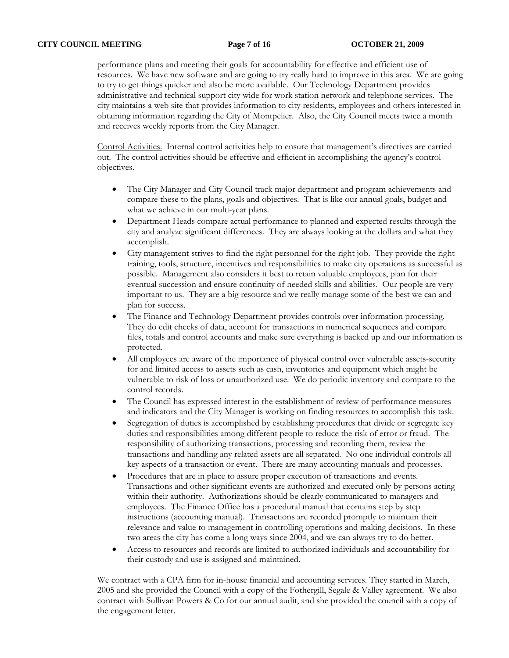performance plans and meeting their goals for accountability for effective and efficient use of resources. We have new software and are going to try really hard to improve in this area. We are going to try to get things quicker and also be more available. Our Technology Department provides administrative and technical support city wide for work station network and telephone services. The city maintains a web site that provides information to city residents, employees and others interested in obtaining information regarding the City of Montpelier. Also, the City Council meets twice a month and receives weekly reports from the City Manager.

Control Activities. Internal control activities help to ensure that management's directives are carried out. The control activities should be effective and efficient in accomplishing the agency's control objectives.

- The City Manager and City Council track major department and program achievements and compare these to the plans, goals and objectives. That is like our annual goals, budget and what we achieve in our multi-year plans.
- Department Heads compare actual performance to planned and expected results through the city and analyze significant differences. They are always looking at the dollars and what they accomplish.
- City management strives to find the right personnel for the right job. They provide the right training, tools, structure, incentives and responsibilities to make city operations as successful as possible. Management also considers it best to retain valuable employees, plan for their eventual succession and ensure continuity of needed skills and abilities. Our people are very important to us. They are a big resource and we really manage some of the best we can and plan for success.
- The Finance and Technology Department provides controls over information processing. They do edit checks of data, account for transactions in numerical sequences and compare files, totals and control accounts and make sure everything is backed up and our information is protected.
- All employees are aware of the importance of physical control over vulnerable assets-security for and limited access to assets such as cash, inventories and equipment which might be vulnerable to risk of loss or unauthorized use. We do periodic inventory and compare to the control records.
- The Council has expressed interest in the establishment of review of performance measures and indicators and the City Manager is working on finding resources to accomplish this task.
- Segregation of duties is accomplished by establishing procedures that divide or segregate key duties and responsibilities among different people to reduce the risk of error or fraud. The responsibility of authorizing transactions, processing and recording them, review the transactions and handling any related assets are all separated. No one individual controls all key aspects of a transaction or event. There are many accounting manuals and processes.
- Procedures that are in place to assure proper execution of transactions and events. Transactions and other significant events are authorized and executed only by persons acting within their authority. Authorizations should be clearly communicated to managers and employees. The Finance Office has a procedural manual that contains step by step instructions (accounting manual). Transactions are recorded promptly to maintain their relevance and value to management in controlling operations and making decisions. In these two areas the city has come a long ways since 2004, and we can always try to do better.
- Access to resources and records are limited to authorized individuals and accountability for their custody and use is assigned and maintained.

We contract with a CPA firm for in-house financial and accounting services. They started in March, 2005 and she provided the Council with a copy of the Fothergill, Segale & Valley agreement. We also contract with Sullivan Powers & Co for our annual audit, and she provided the council with a copy of the engagement letter.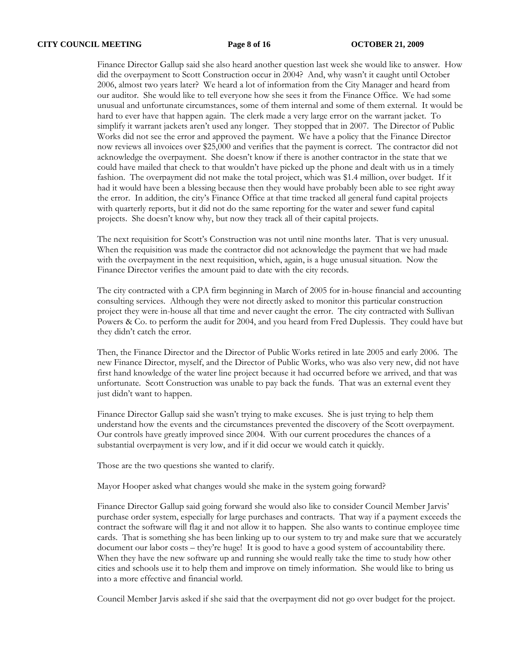Finance Director Gallup said she also heard another question last week she would like to answer. How did the overpayment to Scott Construction occur in 2004? And, why wasn't it caught until October 2006, almost two years later? We heard a lot of information from the City Manager and heard from our auditor. She would like to tell everyone how she sees it from the Finance Office. We had some unusual and unfortunate circumstances, some of them internal and some of them external. It would be hard to ever have that happen again. The clerk made a very large error on the warrant jacket. To simplify it warrant jackets aren't used any longer. They stopped that in 2007. The Director of Public Works did not see the error and approved the payment. We have a policy that the Finance Director now reviews all invoices over \$25,000 and verifies that the payment is correct. The contractor did not acknowledge the overpayment. She doesn't know if there is another contractor in the state that we could have mailed that check to that wouldn't have picked up the phone and dealt with us in a timely fashion. The overpayment did not make the total project, which was \$1.4 million, over budget. If it had it would have been a blessing because then they would have probably been able to see right away the error. In addition, the city's Finance Office at that time tracked all general fund capital projects with quarterly reports, but it did not do the same reporting for the water and sewer fund capital projects. She doesn't know why, but now they track all of their capital projects.

The next requisition for Scott's Construction was not until nine months later. That is very unusual. When the requisition was made the contractor did not acknowledge the payment that we had made with the overpayment in the next requisition, which, again, is a huge unusual situation. Now the Finance Director verifies the amount paid to date with the city records.

The city contracted with a CPA firm beginning in March of 2005 for in-house financial and accounting consulting services. Although they were not directly asked to monitor this particular construction project they were in-house all that time and never caught the error. The city contracted with Sullivan Powers & Co. to perform the audit for 2004, and you heard from Fred Duplessis. They could have but they didn't catch the error.

Then, the Finance Director and the Director of Public Works retired in late 2005 and early 2006. The new Finance Director, myself, and the Director of Public Works, who was also very new, did not have first hand knowledge of the water line project because it had occurred before we arrived, and that was unfortunate. Scott Construction was unable to pay back the funds. That was an external event they just didn't want to happen.

Finance Director Gallup said she wasn't trying to make excuses. She is just trying to help them understand how the events and the circumstances prevented the discovery of the Scott overpayment. Our controls have greatly improved since 2004. With our current procedures the chances of a substantial overpayment is very low, and if it did occur we would catch it quickly.

Those are the two questions she wanted to clarify.

Mayor Hooper asked what changes would she make in the system going forward?

Finance Director Gallup said going forward she would also like to consider Council Member Jarvis' purchase order system, especially for large purchases and contracts. That way if a payment exceeds the contract the software will flag it and not allow it to happen. She also wants to continue employee time cards. That is something she has been linking up to our system to try and make sure that we accurately document our labor costs – they're huge! It is good to have a good system of accountability there. When they have the new software up and running she would really take the time to study how other cities and schools use it to help them and improve on timely information. She would like to bring us into a more effective and financial world.

Council Member Jarvis asked if she said that the overpayment did not go over budget for the project.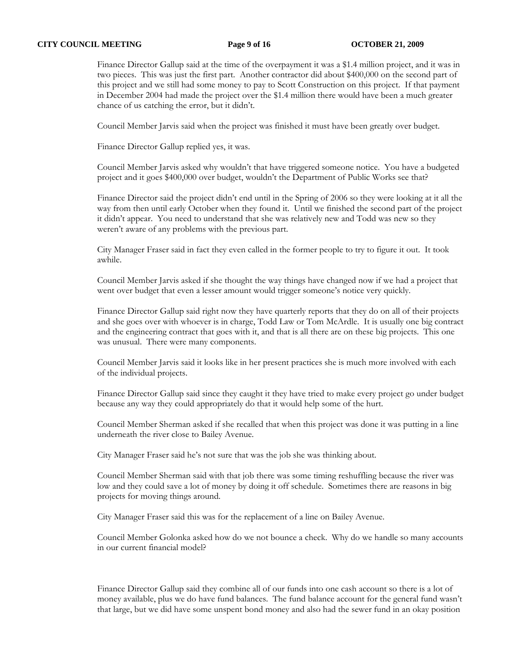### **CITY COUNCIL MEETING** Page 9 of 16 **OCTOBER 21, 2009**

Finance Director Gallup said at the time of the overpayment it was a \$1.4 million project, and it was in two pieces. This was just the first part. Another contractor did about \$400,000 on the second part of this project and we still had some money to pay to Scott Construction on this project. If that payment in December 2004 had made the project over the \$1.4 million there would have been a much greater chance of us catching the error, but it didn't.

Council Member Jarvis said when the project was finished it must have been greatly over budget.

Finance Director Gallup replied yes, it was.

Council Member Jarvis asked why wouldn't that have triggered someone notice. You have a budgeted project and it goes \$400,000 over budget, wouldn't the Department of Public Works see that?

Finance Director said the project didn't end until in the Spring of 2006 so they were looking at it all the way from then until early October when they found it. Until we finished the second part of the project it didn't appear. You need to understand that she was relatively new and Todd was new so they weren't aware of any problems with the previous part.

City Manager Fraser said in fact they even called in the former people to try to figure it out. It took awhile.

Council Member Jarvis asked if she thought the way things have changed now if we had a project that went over budget that even a lesser amount would trigger someone's notice very quickly.

Finance Director Gallup said right now they have quarterly reports that they do on all of their projects and she goes over with whoever is in charge, Todd Law or Tom McArdle. It is usually one big contract and the engineering contract that goes with it, and that is all there are on these big projects. This one was unusual. There were many components.

Council Member Jarvis said it looks like in her present practices she is much more involved with each of the individual projects.

Finance Director Gallup said since they caught it they have tried to make every project go under budget because any way they could appropriately do that it would help some of the hurt.

Council Member Sherman asked if she recalled that when this project was done it was putting in a line underneath the river close to Bailey Avenue.

City Manager Fraser said he's not sure that was the job she was thinking about.

Council Member Sherman said with that job there was some timing reshuffling because the river was low and they could save a lot of money by doing it off schedule. Sometimes there are reasons in big projects for moving things around.

City Manager Fraser said this was for the replacement of a line on Bailey Avenue.

Council Member Golonka asked how do we not bounce a check. Why do we handle so many accounts in our current financial model?

Finance Director Gallup said they combine all of our funds into one cash account so there is a lot of money available, plus we do have fund balances. The fund balance account for the general fund wasn't that large, but we did have some unspent bond money and also had the sewer fund in an okay position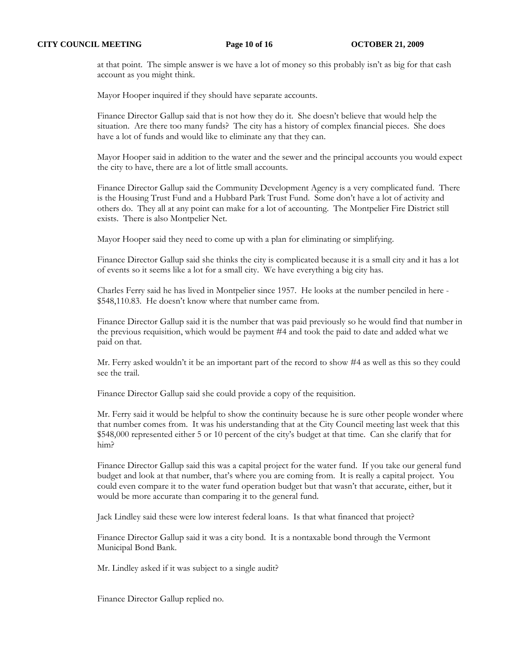at that point. The simple answer is we have a lot of money so this probably isn't as big for that cash account as you might think.

Mayor Hooper inquired if they should have separate accounts.

Finance Director Gallup said that is not how they do it. She doesn't believe that would help the situation. Are there too many funds? The city has a history of complex financial pieces. She does have a lot of funds and would like to eliminate any that they can.

Mayor Hooper said in addition to the water and the sewer and the principal accounts you would expect the city to have, there are a lot of little small accounts.

Finance Director Gallup said the Community Development Agency is a very complicated fund. There is the Housing Trust Fund and a Hubbard Park Trust Fund. Some don't have a lot of activity and others do. They all at any point can make for a lot of accounting. The Montpelier Fire District still exists. There is also Montpelier Net.

Mayor Hooper said they need to come up with a plan for eliminating or simplifying.

Finance Director Gallup said she thinks the city is complicated because it is a small city and it has a lot of events so it seems like a lot for a small city. We have everything a big city has.

Charles Ferry said he has lived in Montpelier since 1957. He looks at the number penciled in here - \$548,110.83. He doesn't know where that number came from.

Finance Director Gallup said it is the number that was paid previously so he would find that number in the previous requisition, which would be payment #4 and took the paid to date and added what we paid on that.

Mr. Ferry asked wouldn't it be an important part of the record to show #4 as well as this so they could see the trail.

Finance Director Gallup said she could provide a copy of the requisition.

Mr. Ferry said it would be helpful to show the continuity because he is sure other people wonder where that number comes from. It was his understanding that at the City Council meeting last week that this \$548,000 represented either 5 or 10 percent of the city's budget at that time. Can she clarify that for him?

Finance Director Gallup said this was a capital project for the water fund. If you take our general fund budget and look at that number, that's where you are coming from. It is really a capital project. You could even compare it to the water fund operation budget but that wasn't that accurate, either, but it would be more accurate than comparing it to the general fund.

Jack Lindley said these were low interest federal loans. Is that what financed that project?

Finance Director Gallup said it was a city bond. It is a nontaxable bond through the Vermont Municipal Bond Bank.

Mr. Lindley asked if it was subject to a single audit?

Finance Director Gallup replied no.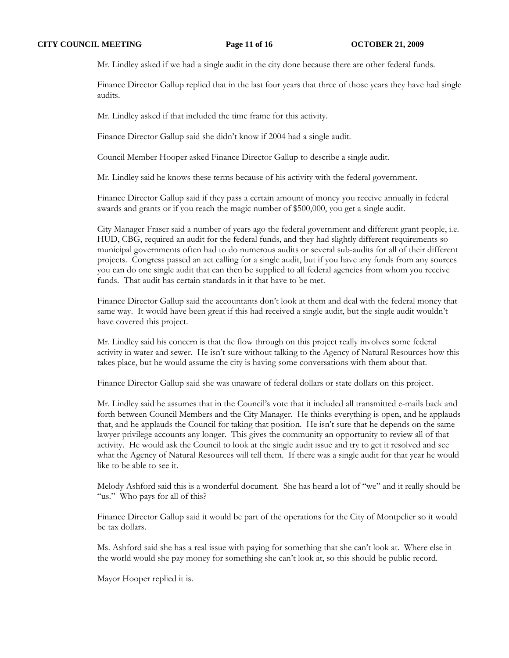Mr. Lindley asked if we had a single audit in the city done because there are other federal funds.

Finance Director Gallup replied that in the last four years that three of those years they have had single audits.

Mr. Lindley asked if that included the time frame for this activity.

Finance Director Gallup said she didn't know if 2004 had a single audit.

Council Member Hooper asked Finance Director Gallup to describe a single audit.

Mr. Lindley said he knows these terms because of his activity with the federal government.

Finance Director Gallup said if they pass a certain amount of money you receive annually in federal awards and grants or if you reach the magic number of \$500,000, you get a single audit.

City Manager Fraser said a number of years ago the federal government and different grant people, i.e. HUD, CBG, required an audit for the federal funds, and they had slightly different requirements so municipal governments often had to do numerous audits or several sub-audits for all of their different projects. Congress passed an act calling for a single audit, but if you have any funds from any sources you can do one single audit that can then be supplied to all federal agencies from whom you receive funds. That audit has certain standards in it that have to be met.

Finance Director Gallup said the accountants don't look at them and deal with the federal money that same way. It would have been great if this had received a single audit, but the single audit wouldn't have covered this project.

Mr. Lindley said his concern is that the flow through on this project really involves some federal activity in water and sewer. He isn't sure without talking to the Agency of Natural Resources how this takes place, but he would assume the city is having some conversations with them about that.

Finance Director Gallup said she was unaware of federal dollars or state dollars on this project.

Mr. Lindley said he assumes that in the Council's vote that it included all transmitted e-mails back and forth between Council Members and the City Manager. He thinks everything is open, and he applauds that, and he applauds the Council for taking that position. He isn't sure that he depends on the same lawyer privilege accounts any longer. This gives the community an opportunity to review all of that activity. He would ask the Council to look at the single audit issue and try to get it resolved and see what the Agency of Natural Resources will tell them. If there was a single audit for that year he would like to be able to see it.

Melody Ashford said this is a wonderful document. She has heard a lot of "we" and it really should be "us." Who pays for all of this?

Finance Director Gallup said it would be part of the operations for the City of Montpelier so it would be tax dollars.

Ms. Ashford said she has a real issue with paying for something that she can't look at. Where else in the world would she pay money for something she can't look at, so this should be public record.

Mayor Hooper replied it is.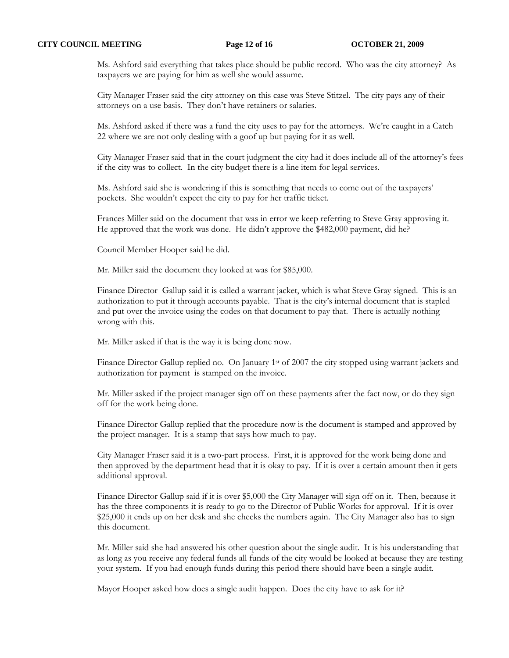Ms. Ashford said everything that takes place should be public record. Who was the city attorney? As taxpayers we are paying for him as well she would assume.

City Manager Fraser said the city attorney on this case was Steve Stitzel. The city pays any of their attorneys on a use basis. They don't have retainers or salaries.

Ms. Ashford asked if there was a fund the city uses to pay for the attorneys. We're caught in a Catch 22 where we are not only dealing with a goof up but paying for it as well.

City Manager Fraser said that in the court judgment the city had it does include all of the attorney's fees if the city was to collect. In the city budget there is a line item for legal services.

Ms. Ashford said she is wondering if this is something that needs to come out of the taxpayers' pockets. She wouldn't expect the city to pay for her traffic ticket.

Frances Miller said on the document that was in error we keep referring to Steve Gray approving it. He approved that the work was done. He didn't approve the \$482,000 payment, did he?

Council Member Hooper said he did.

Mr. Miller said the document they looked at was for \$85,000.

Finance Director Gallup said it is called a warrant jacket, which is what Steve Gray signed. This is an authorization to put it through accounts payable. That is the city's internal document that is stapled and put over the invoice using the codes on that document to pay that. There is actually nothing wrong with this.

Mr. Miller asked if that is the way it is being done now.

Finance Director Gallup replied no. On January 1<sup>st</sup> of 2007 the city stopped using warrant jackets and authorization for payment is stamped on the invoice.

Mr. Miller asked if the project manager sign off on these payments after the fact now, or do they sign off for the work being done.

Finance Director Gallup replied that the procedure now is the document is stamped and approved by the project manager. It is a stamp that says how much to pay.

City Manager Fraser said it is a two-part process. First, it is approved for the work being done and then approved by the department head that it is okay to pay. If it is over a certain amount then it gets additional approval.

Finance Director Gallup said if it is over \$5,000 the City Manager will sign off on it. Then, because it has the three components it is ready to go to the Director of Public Works for approval. If it is over \$25,000 it ends up on her desk and she checks the numbers again. The City Manager also has to sign this document.

Mr. Miller said she had answered his other question about the single audit. It is his understanding that as long as you receive any federal funds all funds of the city would be looked at because they are testing your system. If you had enough funds during this period there should have been a single audit.

Mayor Hooper asked how does a single audit happen. Does the city have to ask for it?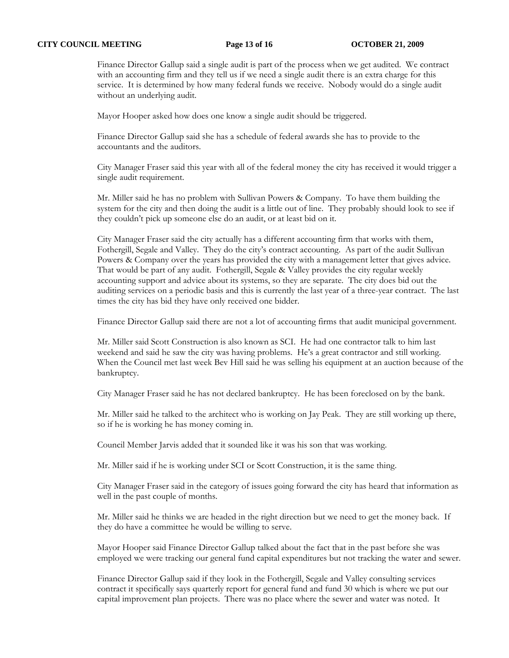### **CITY COUNCIL MEETING Page 13 of 16 OCTOBER 21, 2009**

Finance Director Gallup said a single audit is part of the process when we get audited. We contract with an accounting firm and they tell us if we need a single audit there is an extra charge for this service. It is determined by how many federal funds we receive. Nobody would do a single audit without an underlying audit.

Mayor Hooper asked how does one know a single audit should be triggered.

Finance Director Gallup said she has a schedule of federal awards she has to provide to the accountants and the auditors.

City Manager Fraser said this year with all of the federal money the city has received it would trigger a single audit requirement.

Mr. Miller said he has no problem with Sullivan Powers & Company. To have them building the system for the city and then doing the audit is a little out of line. They probably should look to see if they couldn't pick up someone else do an audit, or at least bid on it.

City Manager Fraser said the city actually has a different accounting firm that works with them, Fothergill, Segale and Valley. They do the city's contract accounting. As part of the audit Sullivan Powers & Company over the years has provided the city with a management letter that gives advice. That would be part of any audit. Fothergill, Segale & Valley provides the city regular weekly accounting support and advice about its systems, so they are separate. The city does bid out the auditing services on a periodic basis and this is currently the last year of a three-year contract. The last times the city has bid they have only received one bidder.

Finance Director Gallup said there are not a lot of accounting firms that audit municipal government.

Mr. Miller said Scott Construction is also known as SCI. He had one contractor talk to him last weekend and said he saw the city was having problems. He's a great contractor and still working. When the Council met last week Bev Hill said he was selling his equipment at an auction because of the bankruptcy.

City Manager Fraser said he has not declared bankruptcy. He has been foreclosed on by the bank.

Mr. Miller said he talked to the architect who is working on Jay Peak. They are still working up there, so if he is working he has money coming in.

Council Member Jarvis added that it sounded like it was his son that was working.

Mr. Miller said if he is working under SCI or Scott Construction, it is the same thing.

City Manager Fraser said in the category of issues going forward the city has heard that information as well in the past couple of months.

Mr. Miller said he thinks we are headed in the right direction but we need to get the money back. If they do have a committee he would be willing to serve.

Mayor Hooper said Finance Director Gallup talked about the fact that in the past before she was employed we were tracking our general fund capital expenditures but not tracking the water and sewer.

Finance Director Gallup said if they look in the Fothergill, Segale and Valley consulting services contract it specifically says quarterly report for general fund and fund 30 which is where we put our capital improvement plan projects. There was no place where the sewer and water was noted. It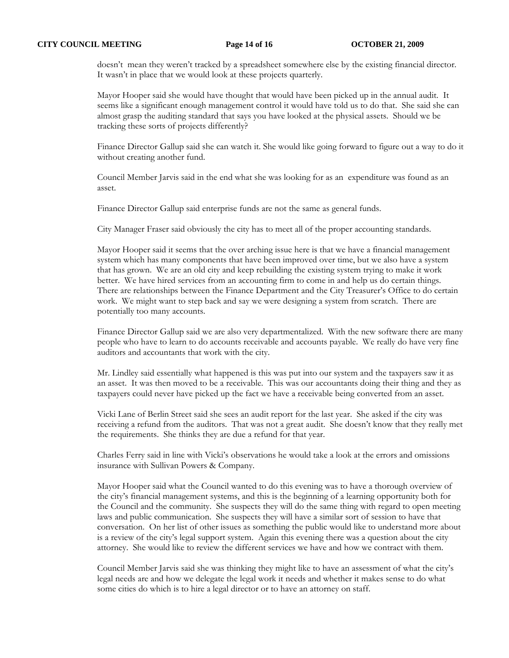doesn't mean they weren't tracked by a spreadsheet somewhere else by the existing financial director. It wasn't in place that we would look at these projects quarterly.

Mayor Hooper said she would have thought that would have been picked up in the annual audit. It seems like a significant enough management control it would have told us to do that. She said she can almost grasp the auditing standard that says you have looked at the physical assets. Should we be tracking these sorts of projects differently?

Finance Director Gallup said she can watch it. She would like going forward to figure out a way to do it without creating another fund.

Council Member Jarvis said in the end what she was looking for as an expenditure was found as an asset.

Finance Director Gallup said enterprise funds are not the same as general funds.

City Manager Fraser said obviously the city has to meet all of the proper accounting standards.

Mayor Hooper said it seems that the over arching issue here is that we have a financial management system which has many components that have been improved over time, but we also have a system that has grown. We are an old city and keep rebuilding the existing system trying to make it work better. We have hired services from an accounting firm to come in and help us do certain things. There are relationships between the Finance Department and the City Treasurer's Office to do certain work. We might want to step back and say we were designing a system from scratch. There are potentially too many accounts.

Finance Director Gallup said we are also very departmentalized. With the new software there are many people who have to learn to do accounts receivable and accounts payable. We really do have very fine auditors and accountants that work with the city.

Mr. Lindley said essentially what happened is this was put into our system and the taxpayers saw it as an asset. It was then moved to be a receivable. This was our accountants doing their thing and they as taxpayers could never have picked up the fact we have a receivable being converted from an asset.

Vicki Lane of Berlin Street said she sees an audit report for the last year. She asked if the city was receiving a refund from the auditors. That was not a great audit. She doesn't know that they really met the requirements. She thinks they are due a refund for that year.

Charles Ferry said in line with Vicki's observations he would take a look at the errors and omissions insurance with Sullivan Powers & Company.

Mayor Hooper said what the Council wanted to do this evening was to have a thorough overview of the city's financial management systems, and this is the beginning of a learning opportunity both for the Council and the community. She suspects they will do the same thing with regard to open meeting laws and public communication. She suspects they will have a similar sort of session to have that conversation. On her list of other issues as something the public would like to understand more about is a review of the city's legal support system. Again this evening there was a question about the city attorney. She would like to review the different services we have and how we contract with them.

Council Member Jarvis said she was thinking they might like to have an assessment of what the city's legal needs are and how we delegate the legal work it needs and whether it makes sense to do what some cities do which is to hire a legal director or to have an attorney on staff.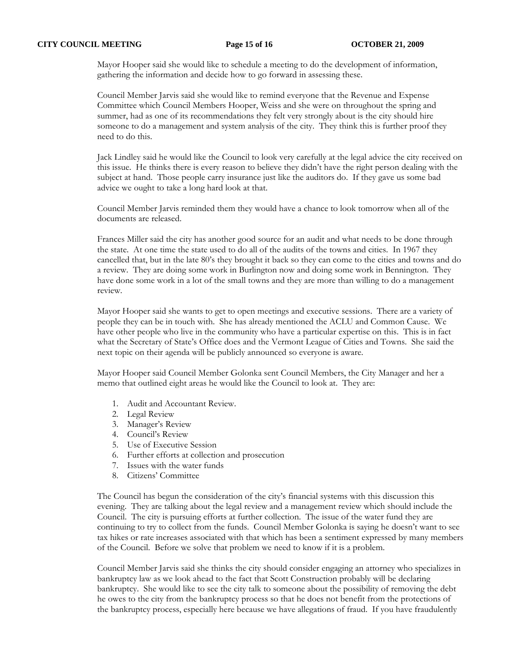Mayor Hooper said she would like to schedule a meeting to do the development of information, gathering the information and decide how to go forward in assessing these.

Council Member Jarvis said she would like to remind everyone that the Revenue and Expense Committee which Council Members Hooper, Weiss and she were on throughout the spring and summer, had as one of its recommendations they felt very strongly about is the city should hire someone to do a management and system analysis of the city. They think this is further proof they need to do this.

Jack Lindley said he would like the Council to look very carefully at the legal advice the city received on this issue. He thinks there is every reason to believe they didn't have the right person dealing with the subject at hand. Those people carry insurance just like the auditors do. If they gave us some bad advice we ought to take a long hard look at that.

Council Member Jarvis reminded them they would have a chance to look tomorrow when all of the documents are released.

Frances Miller said the city has another good source for an audit and what needs to be done through the state. At one time the state used to do all of the audits of the towns and cities. In 1967 they cancelled that, but in the late 80's they brought it back so they can come to the cities and towns and do a review. They are doing some work in Burlington now and doing some work in Bennington. They have done some work in a lot of the small towns and they are more than willing to do a management review.

Mayor Hooper said she wants to get to open meetings and executive sessions. There are a variety of people they can be in touch with. She has already mentioned the ACLU and Common Cause. We have other people who live in the community who have a particular expertise on this. This is in fact what the Secretary of State's Office does and the Vermont League of Cities and Towns. She said the next topic on their agenda will be publicly announced so everyone is aware.

Mayor Hooper said Council Member Golonka sent Council Members, the City Manager and her a memo that outlined eight areas he would like the Council to look at. They are:

- 1. Audit and Accountant Review.
- 2. Legal Review
- 3. Manager's Review
- 4. Council's Review
- 5. Use of Executive Session
- 6. Further efforts at collection and prosecution
- 7. Issues with the water funds
- 8. Citizens' Committee

The Council has begun the consideration of the city's financial systems with this discussion this evening. They are talking about the legal review and a management review which should include the Council. The city is pursuing efforts at further collection. The issue of the water fund they are continuing to try to collect from the funds. Council Member Golonka is saying he doesn't want to see tax hikes or rate increases associated with that which has been a sentiment expressed by many members of the Council. Before we solve that problem we need to know if it is a problem.

Council Member Jarvis said she thinks the city should consider engaging an attorney who specializes in bankruptcy law as we look ahead to the fact that Scott Construction probably will be declaring bankruptcy. She would like to see the city talk to someone about the possibility of removing the debt he owes to the city from the bankruptcy process so that he does not benefit from the protections of the bankruptcy process, especially here because we have allegations of fraud. If you have fraudulently